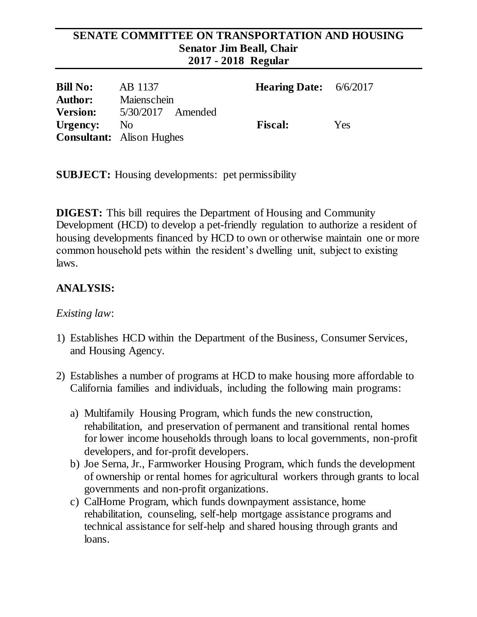#### **SENATE COMMITTEE ON TRANSPORTATION AND HOUSING Senator Jim Beall, Chair 2017 - 2018 Regular**

| <b>Bill No:</b> | AB 1137                          | <b>Hearing Date:</b> $6/6/2017$ |     |
|-----------------|----------------------------------|---------------------------------|-----|
| <b>Author:</b>  | Maienschein                      |                                 |     |
| <b>Version:</b> | $5/30/2017$ Amended              |                                 |     |
| Urgency:        | N <sub>o</sub>                   | <b>Fiscal:</b>                  | Yes |
|                 | <b>Consultant:</b> Alison Hughes |                                 |     |

**SUBJECT:** Housing developments: pet permissibility

**DIGEST:** This bill requires the Department of Housing and Community Development (HCD) to develop a pet-friendly regulation to authorize a resident of housing developments financed by HCD to own or otherwise maintain one or more common household pets within the resident's dwelling unit, subject to existing laws.

# **ANALYSIS:**

### *Existing law*:

- 1) Establishes HCD within the Department of the Business, Consumer Services, and Housing Agency.
- 2) Establishes a number of programs at HCD to make housing more affordable to California families and individuals, including the following main programs:
	- a) Multifamily Housing Program, which funds the new construction, rehabilitation, and preservation of permanent and transitional rental homes for lower income households through loans to local governments, non-profit developers, and for-profit developers.
	- b) Joe Serna, Jr., Farmworker Housing Program, which funds the development of ownership or rental homes for agricultural workers through grants to local governments and non-profit organizations.
	- c) CalHome Program, which funds downpayment assistance, home rehabilitation, counseling, self-help mortgage assistance programs and technical assistance for self-help and shared housing through grants and loans.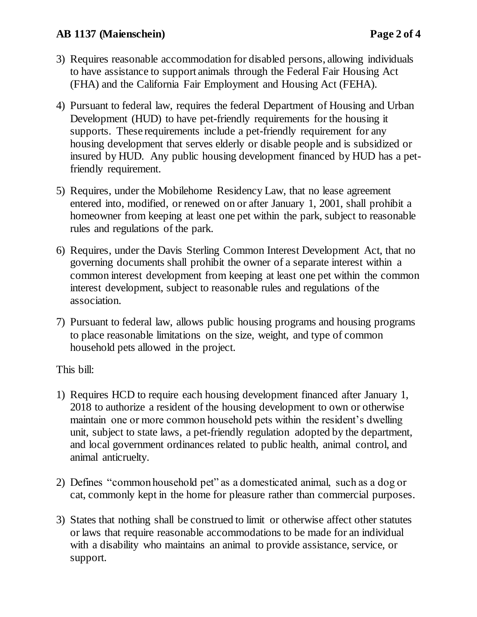### **AB 1137 (Maienschein) Page 2 of 4**

- 3) Requires reasonable accommodation for disabled persons, allowing individuals to have assistance to support animals through the Federal Fair Housing Act (FHA) and the California Fair Employment and Housing Act (FEHA).
- 4) Pursuant to federal law, requires the federal Department of Housing and Urban Development (HUD) to have pet-friendly requirements for the housing it supports. These requirements include a pet-friendly requirement for any housing development that serves elderly or disable people and is subsidized or insured by HUD. Any public housing development financed by HUD has a petfriendly requirement.
- 5) Requires, under the Mobilehome Residency Law, that no lease agreement entered into, modified, or renewed on or after January 1, 2001, shall prohibit a homeowner from keeping at least one pet within the park, subject to reasonable rules and regulations of the park.
- 6) Requires, under the Davis Sterling Common Interest Development Act, that no governing documents shall prohibit the owner of a separate interest within a common interest development from keeping at least one pet within the common interest development, subject to reasonable rules and regulations of the association.
- 7) Pursuant to federal law, allows public housing programs and housing programs to place reasonable limitations on the size, weight, and type of common household pets allowed in the project.

This bill:

- 1) Requires HCD to require each housing development financed after January 1, 2018 to authorize a resident of the housing development to own or otherwise maintain one or more common household pets within the resident's dwelling unit, subject to state laws, a pet-friendly regulation adopted by the department, and local government ordinances related to public health, animal control, and animal anticruelty.
- 2) Defines "common household pet" as a domesticated animal, such as a dog or cat, commonly kept in the home for pleasure rather than commercial purposes.
- 3) States that nothing shall be construed to limit or otherwise affect other statutes or laws that require reasonable accommodations to be made for an individual with a disability who maintains an animal to provide assistance, service, or support.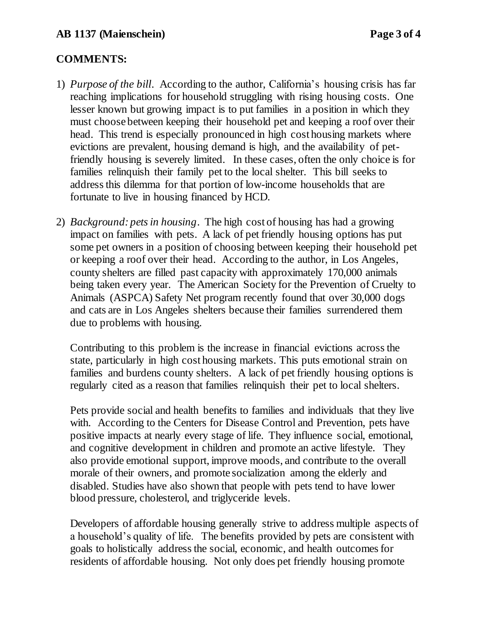### **COMMENTS:**

- 1) *Purpose of the bill*. According to the author, California's housing crisis has far reaching implications for household struggling with rising housing costs. One lesser known but growing impact is to put families in a position in which they must choose between keeping their household pet and keeping a roof over their head. This trend is especially pronounced in high cost housing markets where evictions are prevalent, housing demand is high, and the availability of petfriendly housing is severely limited. In these cases, often the only choice is for families relinquish their family pet to the local shelter. This bill seeks to address this dilemma for that portion of low-income households that are fortunate to live in housing financed by HCD.
- 2) *Background: pets in housing*. The high cost of housing has had a growing impact on families with pets. A lack of pet friendly housing options has put some pet owners in a position of choosing between keeping their household pet or keeping a roof over their head. According to the author, in Los Angeles, county shelters are filled past capacity with approximately 170,000 animals being taken every year. The American Society for the Prevention of Cruelty to Animals (ASPCA) Safety Net program recently found that over 30,000 dogs and cats are in Los Angeles shelters because their families surrendered them due to problems with housing.

Contributing to this problem is the increase in financial evictions across the state, particularly in high cost housing markets. This puts emotional strain on families and burdens county shelters. A lack of pet friendly housing options is regularly cited as a reason that families relinquish their pet to local shelters.

Pets provide social and health benefits to families and individuals that they live with. According to the Centers for Disease Control and Prevention, pets have positive impacts at nearly every stage of life. They influence social, emotional, and cognitive development in children and promote an active lifestyle. They also provide emotional support, improve moods, and contribute to the overall morale of their owners, and promote socialization among the elderly and disabled. Studies have also shown that people with pets tend to have lower blood pressure, cholesterol, and triglyceride levels.

Developers of affordable housing generally strive to address multiple aspects of a household's quality of life. The benefits provided by pets are consistent with goals to holistically address the social, economic, and health outcomes for residents of affordable housing. Not only does pet friendly housing promote